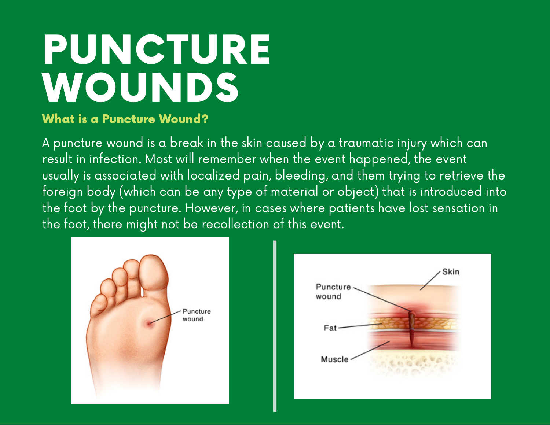# PUNCTURE WOUNDS

### What is a Puncture Wound?

A puncture wound is a break in the skin caused by a traumatic injury which can result in infection. Most will remember when the event happened, the event usually is associated with localized pain, bleeding, and them trying to retrieve the foreign body (which can be any type of material or object) that is introduced into the foot by the puncture. However, in cases where patients have lost sensation in the foot, there might not be recollection of this event.